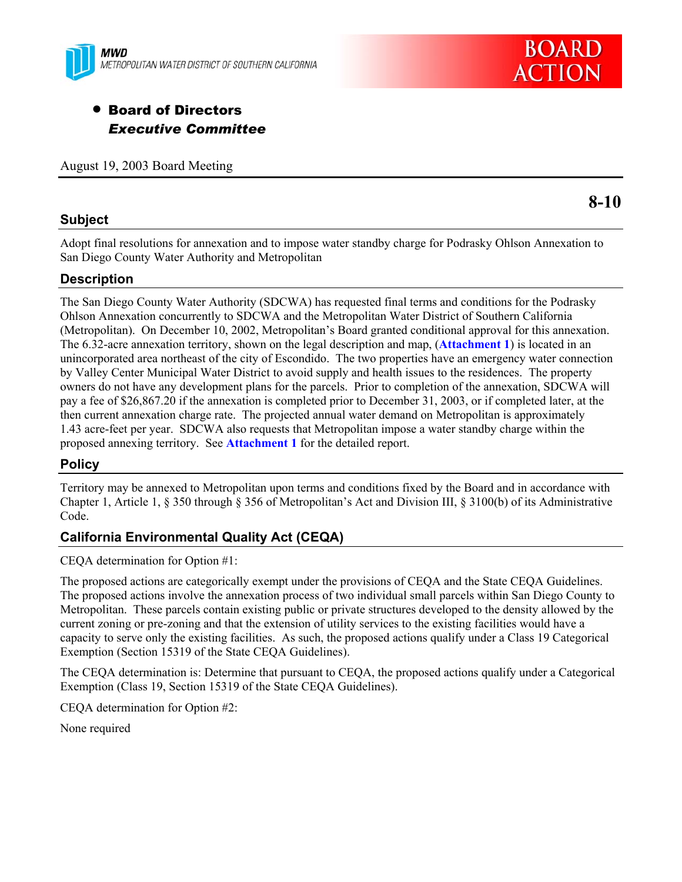



# • Board of Directors *Executive Committee*

August 19, 2003 Board Meeting

# **Subject**

**8-10** 

Adopt final resolutions for annexation and to impose water standby charge for Podrasky Ohlson Annexation to San Diego County Water Authority and Metropolitan

# **Description**

The San Diego County Water Authority (SDCWA) has requested final terms and conditions for the Podrasky Ohlson Annexation concurrently to SDCWA and the Metropolitan Water District of Southern California (Metropolitan). On December 10, 2002, Metropolitan's Board granted conditional approval for this annexation. The 6.32-acre annexation territory, shown on the legal description and map, (**Attachment 1**) is located in an unincorporated area northeast of the city of Escondido. The two properties have an emergency water connection by Valley Center Municipal Water District to avoid supply and health issues to the residences. The property owners do not have any development plans for the parcels. Prior to completion of the annexation, SDCWA will pay a fee of \$26,867.20 if the annexation is completed prior to December 31, 2003, or if completed later, at the then current annexation charge rate. The projected annual water demand on Metropolitan is approximately 1.43 acre-feet per year. SDCWA also requests that Metropolitan impose a water standby charge within the proposed annexing territory. See **Attachment 1** for the detailed report.

# **Policy**

Territory may be annexed to Metropolitan upon terms and conditions fixed by the Board and in accordance with Chapter 1, Article 1, § 350 through § 356 of Metropolitan's Act and Division III, § 3100(b) of its Administrative Code.

# **California Environmental Quality Act (CEQA)**

CEQA determination for Option #1:

The proposed actions are categorically exempt under the provisions of CEQA and the State CEQA Guidelines. The proposed actions involve the annexation process of two individual small parcels within San Diego County to Metropolitan. These parcels contain existing public or private structures developed to the density allowed by the current zoning or pre-zoning and that the extension of utility services to the existing facilities would have a capacity to serve only the existing facilities. As such, the proposed actions qualify under a Class 19 Categorical Exemption (Section 15319 of the State CEQA Guidelines).

The CEQA determination is: Determine that pursuant to CEQA, the proposed actions qualify under a Categorical Exemption (Class 19, Section 15319 of the State CEQA Guidelines).

CEQA determination for Option #2:

None required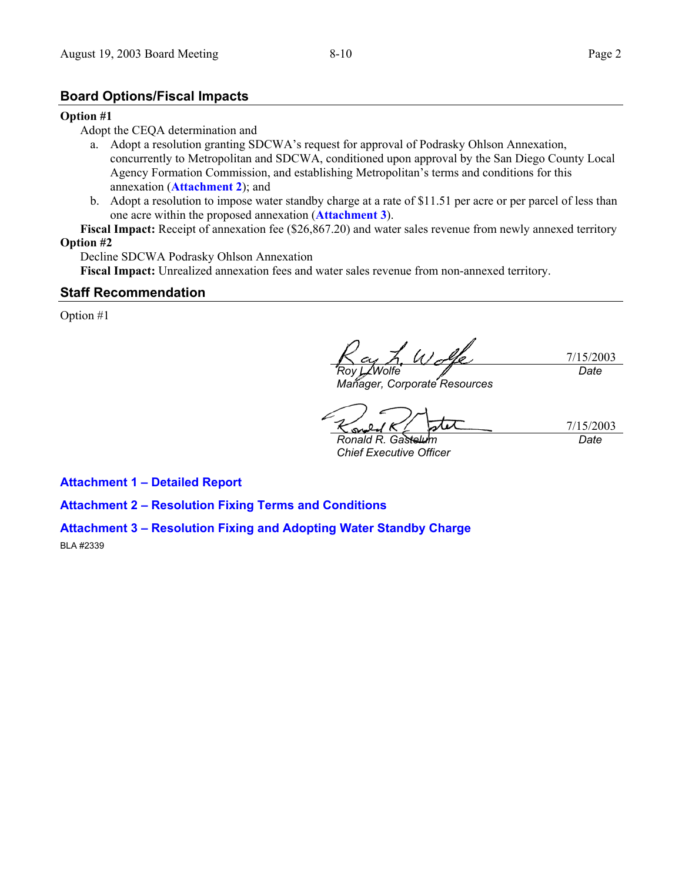# **Board Options/Fiscal Impacts**

#### **Option #1**

Adopt the CEQA determination and

- a. Adopt a resolution granting SDCWA's request for approval of Podrasky Ohlson Annexation, concurrently to Metropolitan and SDCWA, conditioned upon approval by the San Diego County Local Agency Formation Commission, and establishing Metropolitan's terms and conditions for this annexation (**Attachment 2**); and
- b. Adopt a resolution to impose water standby charge at a rate of \$11.51 per acre or per parcel of less than one acre within the proposed annexation (**Attachment 3**).

sи

**Fiscal Impact:** Receipt of annexation fee (\$26,867.20) and water sales revenue from newly annexed territory **Option #2** 

Decline SDCWA Podrasky Ohlson Annexation **Fiscal Impact:** Unrealized annexation fees and water sales revenue from non-annexed territory.

## **Staff Recommendation**

Option #1

7/15/2003 *Roy L. Wolfe Date* 

*Manager, Corporate Resources* 

7/15/2003 *Date* 

*Ronald R. Gastelum Chief Executive Officer* 

**Attachment 1 – Detailed Report** 

**Attachment 2 – Resolution Fixing Terms and Conditions** 

## **Attachment 3 – Resolution Fixing and Adopting Water Standby Charge**

BLA #2339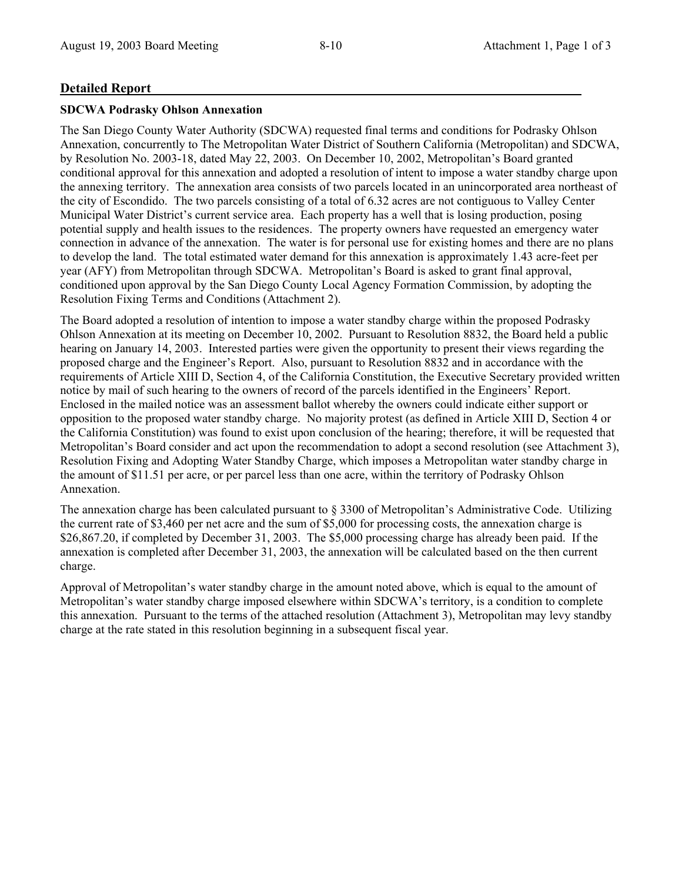# **Detailed Report**

## **SDCWA Podrasky Ohlson Annexation**

The San Diego County Water Authority (SDCWA) requested final terms and conditions for Podrasky Ohlson Annexation, concurrently to The Metropolitan Water District of Southern California (Metropolitan) and SDCWA, by Resolution No. 2003-18, dated May 22, 2003. On December 10, 2002, Metropolitan's Board granted conditional approval for this annexation and adopted a resolution of intent to impose a water standby charge upon the annexing territory. The annexation area consists of two parcels located in an unincorporated area northeast of the city of Escondido. The two parcels consisting of a total of 6.32 acres are not contiguous to Valley Center Municipal Water District's current service area. Each property has a well that is losing production, posing potential supply and health issues to the residences. The property owners have requested an emergency water connection in advance of the annexation. The water is for personal use for existing homes and there are no plans to develop the land. The total estimated water demand for this annexation is approximately 1.43 acre-feet per year (AFY) from Metropolitan through SDCWA. Metropolitan's Board is asked to grant final approval, conditioned upon approval by the San Diego County Local Agency Formation Commission, by adopting the Resolution Fixing Terms and Conditions (Attachment 2).

The Board adopted a resolution of intention to impose a water standby charge within the proposed Podrasky Ohlson Annexation at its meeting on December 10, 2002. Pursuant to Resolution 8832, the Board held a public hearing on January 14, 2003. Interested parties were given the opportunity to present their views regarding the proposed charge and the Engineer's Report. Also, pursuant to Resolution 8832 and in accordance with the requirements of Article XIII D, Section 4, of the California Constitution, the Executive Secretary provided written notice by mail of such hearing to the owners of record of the parcels identified in the Engineers' Report. Enclosed in the mailed notice was an assessment ballot whereby the owners could indicate either support or opposition to the proposed water standby charge. No majority protest (as defined in Article XIII D, Section 4 or the California Constitution) was found to exist upon conclusion of the hearing; therefore, it will be requested that Metropolitan's Board consider and act upon the recommendation to adopt a second resolution (see Attachment 3), Resolution Fixing and Adopting Water Standby Charge, which imposes a Metropolitan water standby charge in the amount of \$11.51 per acre, or per parcel less than one acre, within the territory of Podrasky Ohlson Annexation.

The annexation charge has been calculated pursuant to § 3300 of Metropolitan's Administrative Code. Utilizing the current rate of \$3,460 per net acre and the sum of \$5,000 for processing costs, the annexation charge is \$26,867.20, if completed by December 31, 2003. The \$5,000 processing charge has already been paid. If the annexation is completed after December 31, 2003, the annexation will be calculated based on the then current charge.

Approval of Metropolitan's water standby charge in the amount noted above, which is equal to the amount of Metropolitan's water standby charge imposed elsewhere within SDCWA's territory, is a condition to complete this annexation. Pursuant to the terms of the attached resolution (Attachment 3), Metropolitan may levy standby charge at the rate stated in this resolution beginning in a subsequent fiscal year.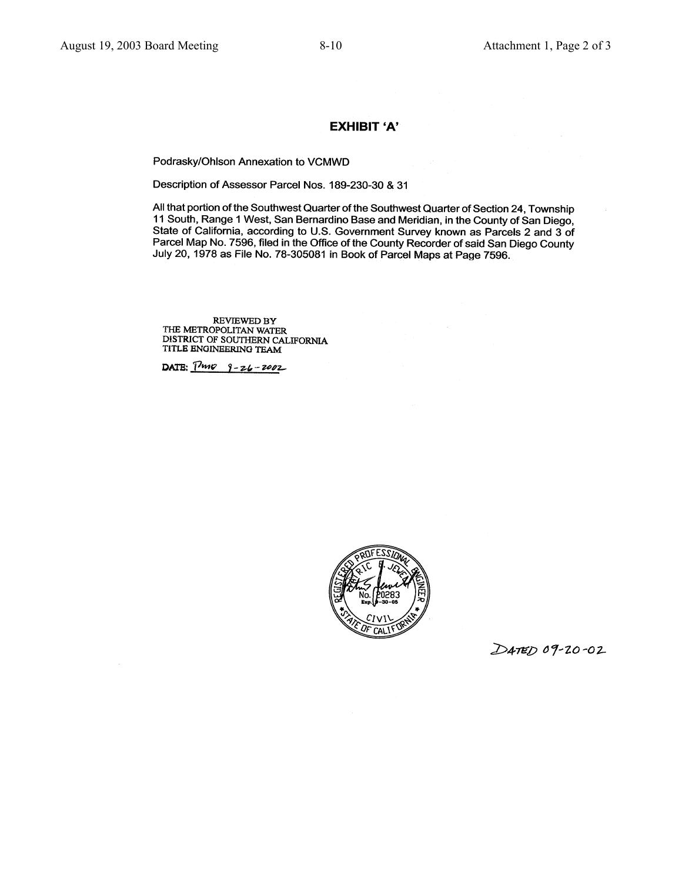## **EXHIBIT 'A'**

Podrasky/Ohlson Annexation to VCMWD

Description of Assessor Parcel Nos. 189-230-30 & 31

All that portion of the Southwest Quarter of the Southwest Quarter of Section 24, Township 11 South, Range 1 West, San Bernardino Base and Meridian, in the County of San Diego, State of California, according to U.S. Government Survey known as Parcels 2 and 3 of Parcel Map No. 7596, filed in the Office of the County Recorder of said San Diego County July 20, 1978 as File No. 78-305081 in Book of Parcel Maps at Page 7596.

**REVIEWED BY** THE METROPOLITAN WATER DISTRICT OF SOUTHERN CALIFORNIA<br>TITLE ENGINEERING TEAM

DATE: <u>TWO 9-26-2002</u>



DATED 09-20-02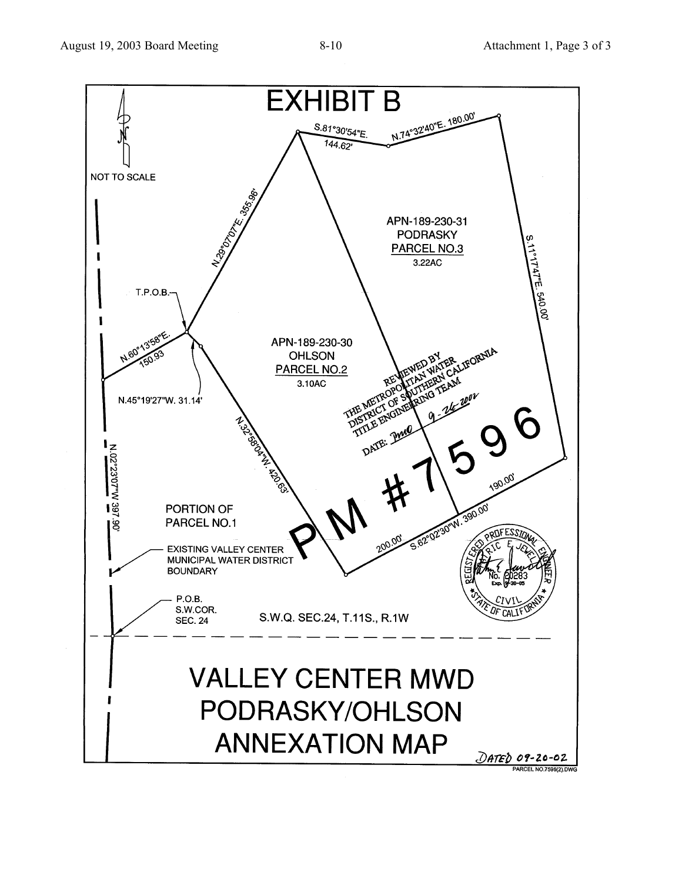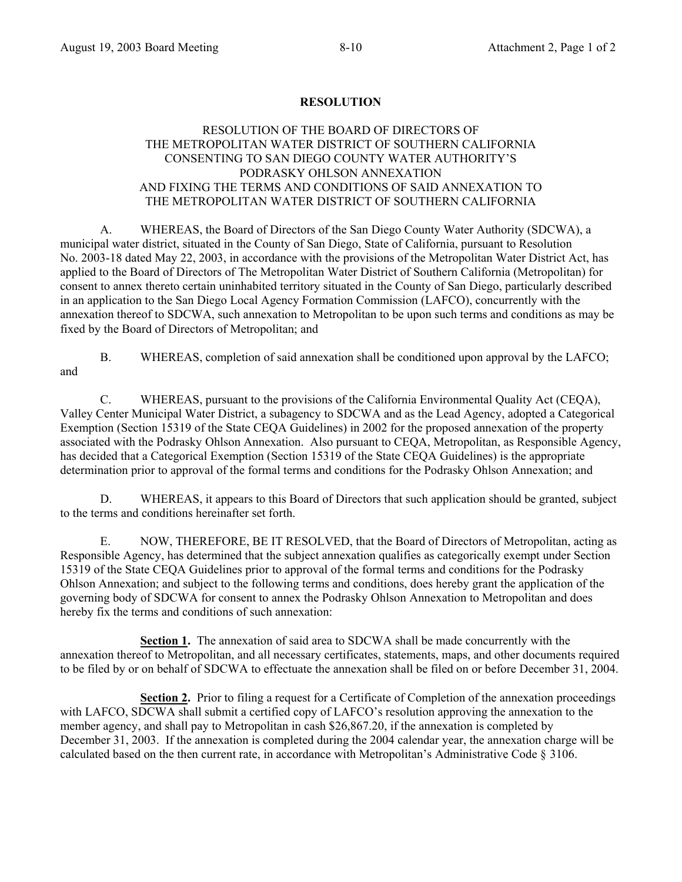#### **RESOLUTION**

#### RESOLUTION OF THE BOARD OF DIRECTORS OF THE METROPOLITAN WATER DISTRICT OF SOUTHERN CALIFORNIA CONSENTING TO SAN DIEGO COUNTY WATER AUTHORITY'S PODRASKY OHLSON ANNEXATION AND FIXING THE TERMS AND CONDITIONS OF SAID ANNEXATION TO THE METROPOLITAN WATER DISTRICT OF SOUTHERN CALIFORNIA

 A. WHEREAS, the Board of Directors of the San Diego County Water Authority (SDCWA), a municipal water district, situated in the County of San Diego, State of California, pursuant to Resolution No. 2003-18 dated May 22, 2003, in accordance with the provisions of the Metropolitan Water District Act, has applied to the Board of Directors of The Metropolitan Water District of Southern California (Metropolitan) for consent to annex thereto certain uninhabited territory situated in the County of San Diego, particularly described in an application to the San Diego Local Agency Formation Commission (LAFCO), concurrently with the annexation thereof to SDCWA, such annexation to Metropolitan to be upon such terms and conditions as may be fixed by the Board of Directors of Metropolitan; and

 B. WHEREAS, completion of said annexation shall be conditioned upon approval by the LAFCO; and

C. WHEREAS, pursuant to the provisions of the California Environmental Quality Act (CEQA), Valley Center Municipal Water District, a subagency to SDCWA and as the Lead Agency, adopted a Categorical Exemption (Section 15319 of the State CEQA Guidelines) in 2002 for the proposed annexation of the property associated with the Podrasky Ohlson Annexation. Also pursuant to CEQA, Metropolitan, as Responsible Agency, has decided that a Categorical Exemption (Section 15319 of the State CEQA Guidelines) is the appropriate determination prior to approval of the formal terms and conditions for the Podrasky Ohlson Annexation; and

 D. WHEREAS, it appears to this Board of Directors that such application should be granted, subject to the terms and conditions hereinafter set forth.

E. NOW, THEREFORE, BE IT RESOLVED, that the Board of Directors of Metropolitan, acting as Responsible Agency, has determined that the subject annexation qualifies as categorically exempt under Section 15319 of the State CEQA Guidelines prior to approval of the formal terms and conditions for the Podrasky Ohlson Annexation; and subject to the following terms and conditions, does hereby grant the application of the governing body of SDCWA for consent to annex the Podrasky Ohlson Annexation to Metropolitan and does hereby fix the terms and conditions of such annexation:

 **Section 1.** The annexation of said area to SDCWA shall be made concurrently with the annexation thereof to Metropolitan, and all necessary certificates, statements, maps, and other documents required to be filed by or on behalf of SDCWA to effectuate the annexation shall be filed on or before December 31, 2004.

**Section 2.** Prior to filing a request for a Certificate of Completion of the annexation proceedings with LAFCO, SDCWA shall submit a certified copy of LAFCO's resolution approving the annexation to the member agency, and shall pay to Metropolitan in cash \$26,867.20, if the annexation is completed by December 31, 2003. If the annexation is completed during the 2004 calendar year, the annexation charge will be calculated based on the then current rate, in accordance with Metropolitan's Administrative Code § 3106.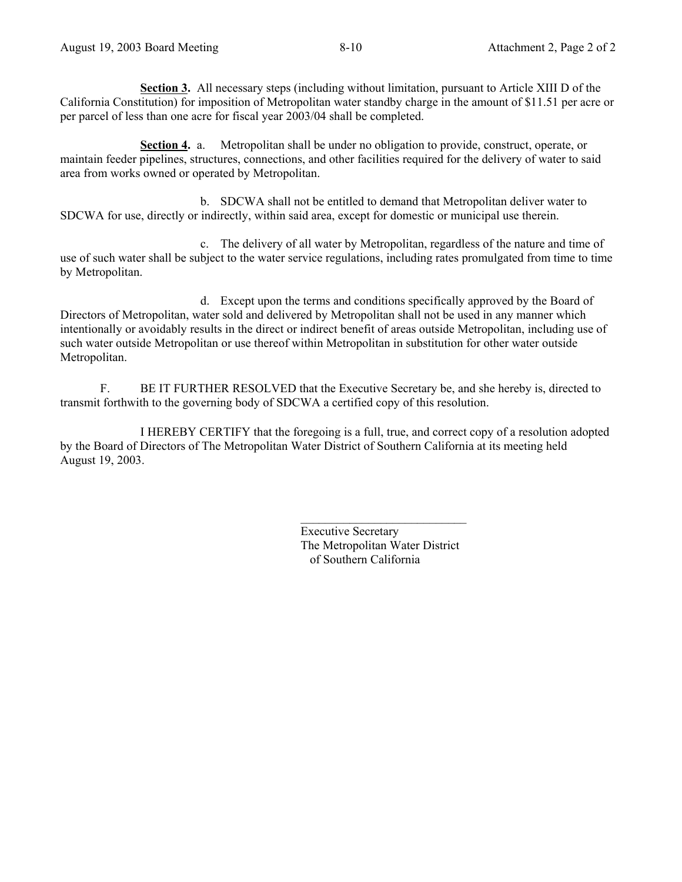**Section 3.** All necessary steps (including without limitation, pursuant to Article XIII D of the California Constitution) for imposition of Metropolitan water standby charge in the amount of \$11.51 per acre or per parcel of less than one acre for fiscal year 2003/04 shall be completed.

 **Section 4.** a. Metropolitan shall be under no obligation to provide, construct, operate, or maintain feeder pipelines, structures, connections, and other facilities required for the delivery of water to said area from works owned or operated by Metropolitan.

 b. SDCWA shall not be entitled to demand that Metropolitan deliver water to SDCWA for use, directly or indirectly, within said area, except for domestic or municipal use therein.

 c. The delivery of all water by Metropolitan, regardless of the nature and time of use of such water shall be subject to the water service regulations, including rates promulgated from time to time by Metropolitan.

d. Except upon the terms and conditions specifically approved by the Board of Directors of Metropolitan, water sold and delivered by Metropolitan shall not be used in any manner which intentionally or avoidably results in the direct or indirect benefit of areas outside Metropolitan, including use of such water outside Metropolitan or use thereof within Metropolitan in substitution for other water outside Metropolitan.

F. BE IT FURTHER RESOLVED that the Executive Secretary be, and she hereby is, directed to transmit forthwith to the governing body of SDCWA a certified copy of this resolution.

 I HEREBY CERTIFY that the foregoing is a full, true, and correct copy of a resolution adopted by the Board of Directors of The Metropolitan Water District of Southern California at its meeting held August 19, 2003.

> Executive Secretary The Metropolitan Water District of Southern California

 $\mathcal{L}_\text{max}$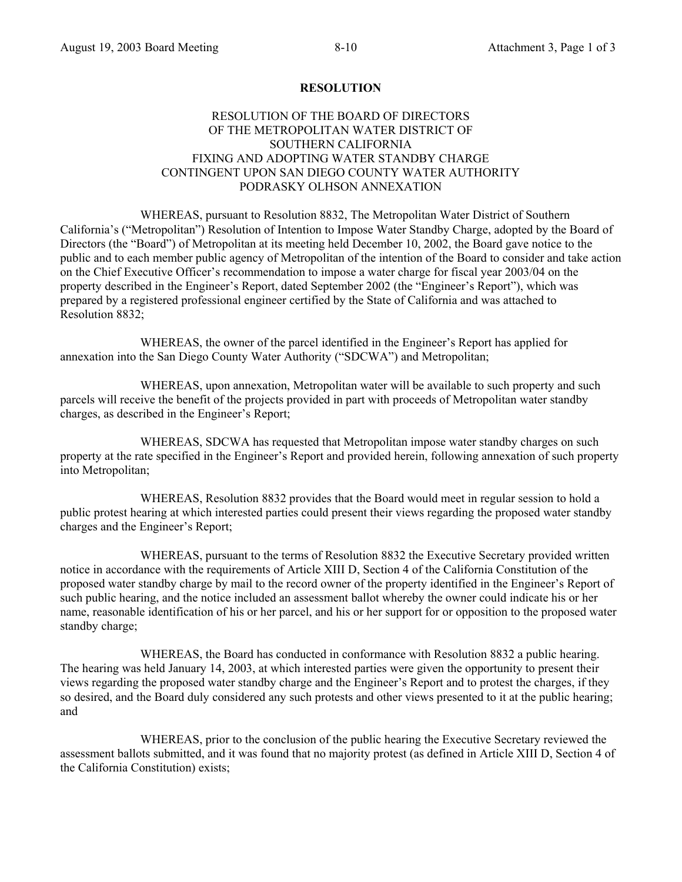#### **RESOLUTION**

#### RESOLUTION OF THE BOARD OF DIRECTORS OF THE METROPOLITAN WATER DISTRICT OF SOUTHERN CALIFORNIA FIXING AND ADOPTING WATER STANDBY CHARGE CONTINGENT UPON SAN DIEGO COUNTY WATER AUTHORITY PODRASKY OLHSON ANNEXATION

 WHEREAS, pursuant to Resolution 8832, The Metropolitan Water District of Southern California's ("Metropolitan") Resolution of Intention to Impose Water Standby Charge, adopted by the Board of Directors (the "Board") of Metropolitan at its meeting held December 10, 2002, the Board gave notice to the public and to each member public agency of Metropolitan of the intention of the Board to consider and take action on the Chief Executive Officer's recommendation to impose a water charge for fiscal year 2003/04 on the property described in the Engineer's Report, dated September 2002 (the "Engineer's Report"), which was prepared by a registered professional engineer certified by the State of California and was attached to Resolution 8832;

 WHEREAS, the owner of the parcel identified in the Engineer's Report has applied for annexation into the San Diego County Water Authority ("SDCWA") and Metropolitan;

 WHEREAS, upon annexation, Metropolitan water will be available to such property and such parcels will receive the benefit of the projects provided in part with proceeds of Metropolitan water standby charges, as described in the Engineer's Report;

 WHEREAS, SDCWA has requested that Metropolitan impose water standby charges on such property at the rate specified in the Engineer's Report and provided herein, following annexation of such property into Metropolitan;

 WHEREAS, Resolution 8832 provides that the Board would meet in regular session to hold a public protest hearing at which interested parties could present their views regarding the proposed water standby charges and the Engineer's Report;

 WHEREAS, pursuant to the terms of Resolution 8832 the Executive Secretary provided written notice in accordance with the requirements of Article XIII D, Section 4 of the California Constitution of the proposed water standby charge by mail to the record owner of the property identified in the Engineer's Report of such public hearing, and the notice included an assessment ballot whereby the owner could indicate his or her name, reasonable identification of his or her parcel, and his or her support for or opposition to the proposed water standby charge;

 WHEREAS, the Board has conducted in conformance with Resolution 8832 a public hearing. The hearing was held January 14, 2003, at which interested parties were given the opportunity to present their views regarding the proposed water standby charge and the Engineer's Report and to protest the charges, if they so desired, and the Board duly considered any such protests and other views presented to it at the public hearing; and

 WHEREAS, prior to the conclusion of the public hearing the Executive Secretary reviewed the assessment ballots submitted, and it was found that no majority protest (as defined in Article XIII D, Section 4 of the California Constitution) exists;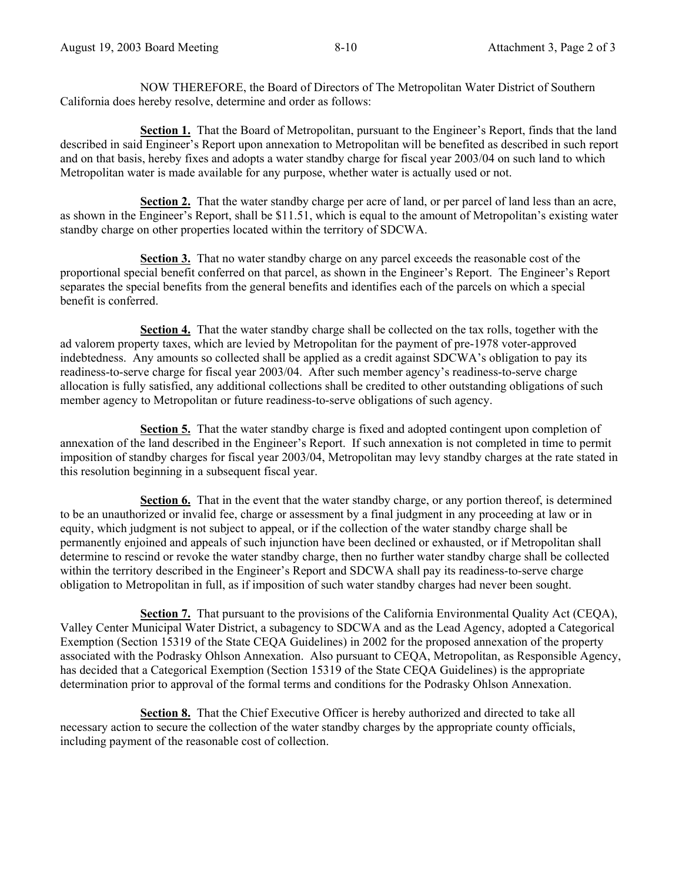NOW THEREFORE, the Board of Directors of The Metropolitan Water District of Southern California does hereby resolve, determine and order as follows:

 **Section 1.** That the Board of Metropolitan, pursuant to the Engineer's Report, finds that the land described in said Engineer's Report upon annexation to Metropolitan will be benefited as described in such report and on that basis, hereby fixes and adopts a water standby charge for fiscal year 2003/04 on such land to which Metropolitan water is made available for any purpose, whether water is actually used or not.

**Section 2.** That the water standby charge per acre of land, or per parcel of land less than an acre, as shown in the Engineer's Report, shall be \$11.51, which is equal to the amount of Metropolitan's existing water standby charge on other properties located within the territory of SDCWA.

 **Section 3.** That no water standby charge on any parcel exceeds the reasonable cost of the proportional special benefit conferred on that parcel, as shown in the Engineer's Report. The Engineer's Report separates the special benefits from the general benefits and identifies each of the parcels on which a special benefit is conferred.

 **Section 4.** That the water standby charge shall be collected on the tax rolls, together with the ad valorem property taxes, which are levied by Metropolitan for the payment of pre-1978 voter-approved indebtedness. Any amounts so collected shall be applied as a credit against SDCWA's obligation to pay its readiness-to-serve charge for fiscal year 2003/04. After such member agency's readiness-to-serve charge allocation is fully satisfied, any additional collections shall be credited to other outstanding obligations of such member agency to Metropolitan or future readiness-to-serve obligations of such agency.

 **Section 5.** That the water standby charge is fixed and adopted contingent upon completion of annexation of the land described in the Engineer's Report. If such annexation is not completed in time to permit imposition of standby charges for fiscal year 2003/04, Metropolitan may levy standby charges at the rate stated in this resolution beginning in a subsequent fiscal year.

 **Section 6.** That in the event that the water standby charge, or any portion thereof, is determined to be an unauthorized or invalid fee, charge or assessment by a final judgment in any proceeding at law or in equity, which judgment is not subject to appeal, or if the collection of the water standby charge shall be permanently enjoined and appeals of such injunction have been declined or exhausted, or if Metropolitan shall determine to rescind or revoke the water standby charge, then no further water standby charge shall be collected within the territory described in the Engineer's Report and SDCWA shall pay its readiness-to-serve charge obligation to Metropolitan in full, as if imposition of such water standby charges had never been sought.

**Section 7.** That pursuant to the provisions of the California Environmental Quality Act (CEQA), Valley Center Municipal Water District, a subagency to SDCWA and as the Lead Agency, adopted a Categorical Exemption (Section 15319 of the State CEQA Guidelines) in 2002 for the proposed annexation of the property associated with the Podrasky Ohlson Annexation. Also pursuant to CEQA, Metropolitan, as Responsible Agency, has decided that a Categorical Exemption (Section 15319 of the State CEQA Guidelines) is the appropriate determination prior to approval of the formal terms and conditions for the Podrasky Ohlson Annexation.

 **Section 8.** That the Chief Executive Officer is hereby authorized and directed to take all necessary action to secure the collection of the water standby charges by the appropriate county officials, including payment of the reasonable cost of collection.